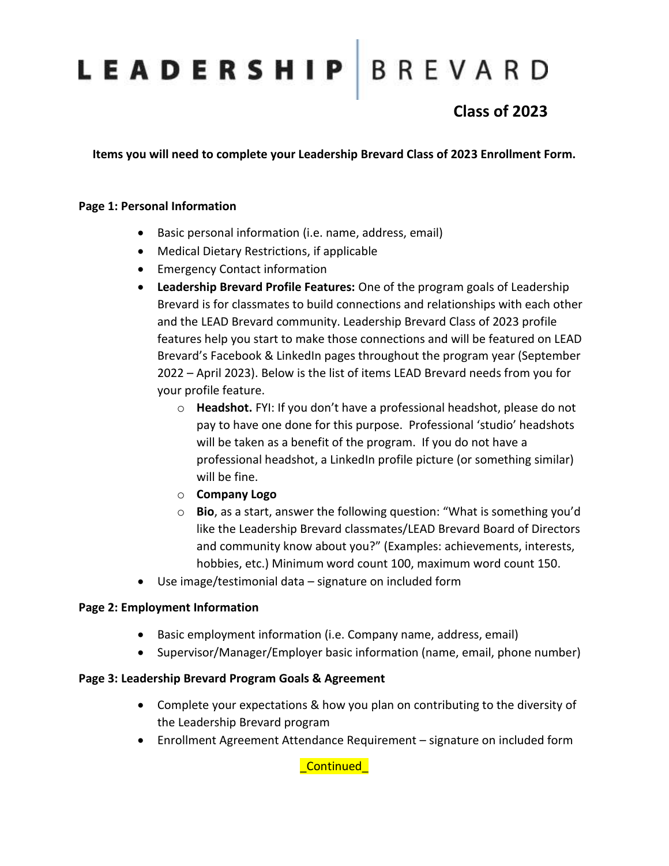# LEADERSHIP BREVARD

### **Class of 2023**

**Items you will need to complete your Leadership Brevard Class of 2023 Enrollment Form.**

### **Page 1: Personal Information**

- Basic personal information (i.e. name, address, email)
- Medical Dietary Restrictions, if applicable
- Emergency Contact information
- **Leadership Brevard Profile Features:** One of the program goals of Leadership Brevard is for classmates to build connections and relationships with each other and the LEAD Brevard community. Leadership Brevard Class of 2023 profile features help you start to make those connections and will be featured on LEAD Brevard's Facebook & LinkedIn pages throughout the program year (September 2022 – April 2023). Below is the list of items LEAD Brevard needs from you for your profile feature.
	- o **Headshot.** FYI: If you don't have a professional headshot, please do not pay to have one done for this purpose. Professional 'studio' headshots will be taken as a benefit of the program. If you do not have a professional headshot, a LinkedIn profile picture (or something similar) will be fine.
	- o **Company Logo**
	- o **Bio**, as a start, answer the following question: "What is something you'd like the Leadership Brevard classmates/LEAD Brevard Board of Directors and community know about you?" (Examples: achievements, interests, hobbies, etc.) Minimum word count 100, maximum word count 150.
- Use image/testimonial data signature on included form

### **Page 2: Employment Information**

- Basic employment information (i.e. Company name, address, email)
- Supervisor/Manager/Employer basic information (name, email, phone number)

#### **Page 3: Leadership Brevard Program Goals & Agreement**

- Complete your expectations & how you plan on contributing to the diversity of the Leadership Brevard program
- Enrollment Agreement Attendance Requirement signature on included form

\_Continued\_